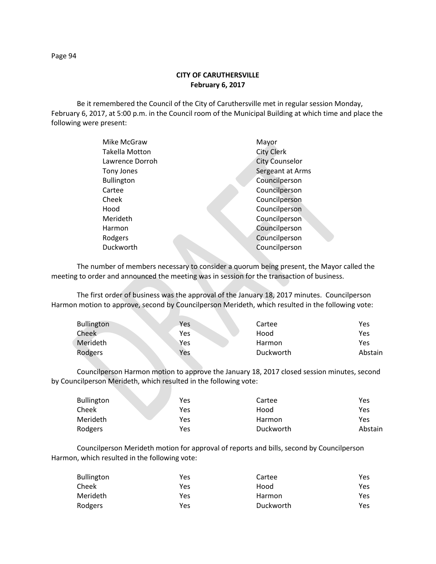**CITY OF CARUTHERSVILLE February 6, 2017**

Be it remembered the Council of the City of Caruthersville met in regular session Monday, February 6, 2017, at 5:00 p.m. in the Council room of the Municipal Building at which time and place the following were present:

| Mike McGraw       | Mayor                 |
|-------------------|-----------------------|
| Takella Motton    | <b>City Clerk</b>     |
| Lawrence Dorroh   | <b>City Counselor</b> |
| Tony Jones        | Sergeant at Arms      |
| <b>Bullington</b> | Councilperson         |
| Cartee            | Councilperson         |
| Cheek             | Councilperson         |
| Hood              | Councilperson         |
| Merideth          | Councilperson         |
| Harmon            | Councilperson         |
| Rodgers           | Councilperson         |
| Duckworth         | Councilperson         |
|                   |                       |

The number of members necessary to consider a quorum being present, the Mayor called the meeting to order and announced the meeting was in session for the transaction of business.

The first order of business was the approval of the January 18, 2017 minutes. Councilperson Harmon motion to approve, second by Councilperson Merideth, which resulted in the following vote:

N.

| <b>Bullington</b> | Yes | Cartee    | Yes     |
|-------------------|-----|-----------|---------|
| Cheek             | Yes | Hood      | Yes     |
| Merideth          | Yes | Harmon    | Yes     |
| Rodgers           | Yes | Duckworth | Abstain |

Councilperson Harmon motion to approve the January 18, 2017 closed session minutes, second by Councilperson Merideth, which resulted in the following vote:

| <b>Bullington</b> | Yes | Cartee    | Yes     |
|-------------------|-----|-----------|---------|
| Cheek             | Yes | Hood      | Yes     |
| Merideth          | Yes | Harmon    | Yes     |
| Rodgers           | Yes | Duckworth | Abstain |

Councilperson Merideth motion for approval of reports and bills, second by Councilperson Harmon, which resulted in the following vote:

| <b>Bullington</b> | Yes | Cartee    | Yes |
|-------------------|-----|-----------|-----|
| Cheek             | Yes | Hood      | Yes |
| Merideth          | Yes | Harmon    | Yes |
| Rodgers           | Yes | Duckworth | Yes |

Page 94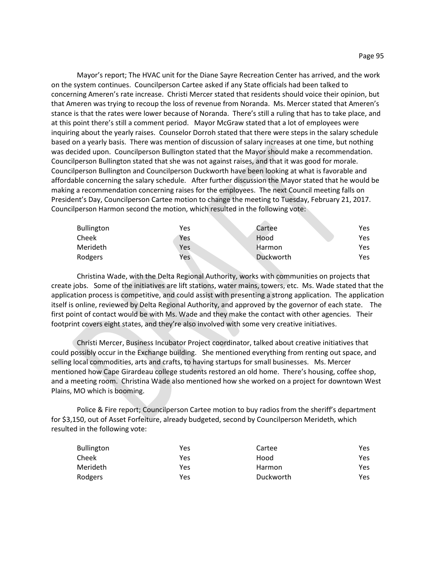Mayor's report; The HVAC unit for the Diane Sayre Recreation Center has arrived, and the work on the system continues. Councilperson Cartee asked if any State officials had been talked to concerning Ameren's rate increase. Christi Mercer stated that residents should voice their opinion, but that Ameren was trying to recoup the loss of revenue from Noranda. Ms. Mercer stated that Ameren's stance is that the rates were lower because of Noranda. There's still a ruling that has to take place, and at this point there's still a comment period. Mayor McGraw stated that a lot of employees were inquiring about the yearly raises. Counselor Dorroh stated that there were steps in the salary schedule based on a yearly basis. There was mention of discussion of salary increases at one time, but nothing was decided upon. Councilperson Bullington stated that the Mayor should make a recommendation. Councilperson Bullington stated that she was not against raises, and that it was good for morale. Councilperson Bullington and Councilperson Duckworth have been looking at what is favorable and affordable concerning the salary schedule. After further discussion the Mayor stated that he would be making a recommendation concerning raises for the employees. The next Council meeting falls on President's Day, Councilperson Cartee motion to change the meeting to Tuesday, February 21, 2017. Councilperson Harmon second the motion, which resulted in the following vote:

| <b>Bullington</b> | Yes        | Cartee    | Yes. |
|-------------------|------------|-----------|------|
| Cheek             | Yes        | Hood      | Yes. |
| Merideth          | <b>Yes</b> | Harmon    | Yes. |
| Rodgers           | Yes        | Duckworth | Yes. |

Christina Wade, with the Delta Regional Authority, works with communities on projects that create jobs. Some of the initiatives are lift stations, water mains, towers, etc. Ms. Wade stated that the application process is competitive, and could assist with presenting a strong application. The application itself is online, reviewed by Delta Regional Authority, and approved by the governor of each state. The first point of contact would be with Ms. Wade and they make the contact with other agencies. Their footprint covers eight states, and they're also involved with some very creative initiatives.

Christi Mercer, Business Incubator Project coordinator, talked about creative initiatives that could possibly occur in the Exchange building. She mentioned everything from renting out space, and selling local commodities, arts and crafts, to having startups for small businesses. Ms. Mercer mentioned how Cape Girardeau college students restored an old home. There's housing, coffee shop, and a meeting room. Christina Wade also mentioned how she worked on a project for downtown West Plains, MO which is booming.

Police & Fire report; Councilperson Cartee motion to buy radios from the sheriff's department for \$3,150, out of Asset Forfeiture, already budgeted, second by Councilperson Merideth, which resulted in the following vote:

| <b>Bullington</b> | Yes | Cartee    | Yes  |
|-------------------|-----|-----------|------|
| Cheek             | Yes | Hood      | Yes. |
| Merideth          | Yes | Harmon    | Yes. |
| Rodgers           | Yes | Duckworth | Yes. |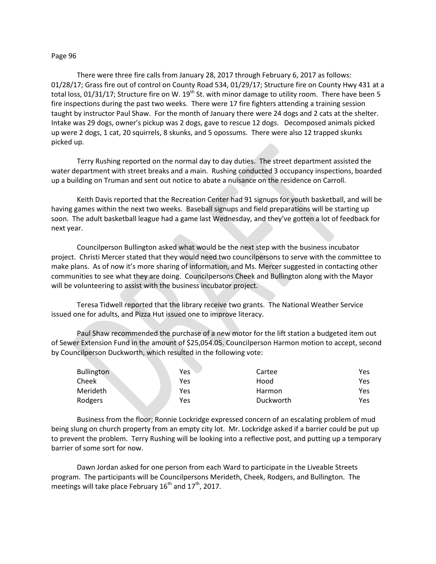## Page 96

There were three fire calls from January 28, 2017 through February 6, 2017 as follows: 01/28/17; Grass fire out of control on County Road 534, 01/29/17; Structure fire on County Hwy 431 at a total loss, 01/31/17; Structure fire on W. 19<sup>th</sup> St. with minor damage to utility room. There have been 5 fire inspections during the past two weeks. There were 17 fire fighters attending a training session taught by instructor Paul Shaw. For the month of January there were 24 dogs and 2 cats at the shelter. Intake was 29 dogs, owner's pickup was 2 dogs, gave to rescue 12 dogs. Decomposed animals picked up were 2 dogs, 1 cat, 20 squirrels, 8 skunks, and 5 opossums. There were also 12 trapped skunks picked up.

Terry Rushing reported on the normal day to day duties. The street department assisted the water department with street breaks and a main. Rushing conducted 3 occupancy inspections, boarded up a building on Truman and sent out notice to abate a nuisance on the residence on Carroll.

Keith Davis reported that the Recreation Center had 91 signups for youth basketball, and will be having games within the next two weeks. Baseball signups and field preparations will be starting up soon. The adult basketball league had a game last Wednesday, and they've gotten a lot of feedback for next year.

Councilperson Bullington asked what would be the next step with the business incubator project. Christi Mercer stated that they would need two councilpersons to serve with the committee to make plans. As of now it's more sharing of information, and Ms. Mercer suggested in contacting other communities to see what they are doing. Councilpersons Cheek and Bullington along with the Mayor will be volunteering to assist with the business incubator project.

Teresa Tidwell reported that the library receive two grants. The National Weather Service issued one for adults, and Pizza Hut issued one to improve literacy.

Paul Shaw recommended the purchase of a new motor for the lift station a budgeted item out of Sewer Extension Fund in the amount of \$25,054.05. Councilperson Harmon motion to accept, second by Councilperson Duckworth, which resulted in the following vote:

| <b>Bullington</b> | Yes | Cartee    | Yes |
|-------------------|-----|-----------|-----|
| Cheek             | Yes | Hood      | Yes |
| Merideth          | Yes | Harmon    | Yes |
| Rodgers           | Yes | Duckworth | Yes |

Business from the floor; Ronnie Lockridge expressed concern of an escalating problem of mud being slung on church property from an empty city lot. Mr. Lockridge asked if a barrier could be put up to prevent the problem. Terry Rushing will be looking into a reflective post, and putting up a temporary barrier of some sort for now.

Dawn Jordan asked for one person from each Ward to participate in the Liveable Streets program. The participants will be Councilpersons Merideth, Cheek, Rodgers, and Bullington. The meetings will take place February  $16<sup>th</sup>$  and  $17<sup>th</sup>$ , 2017.